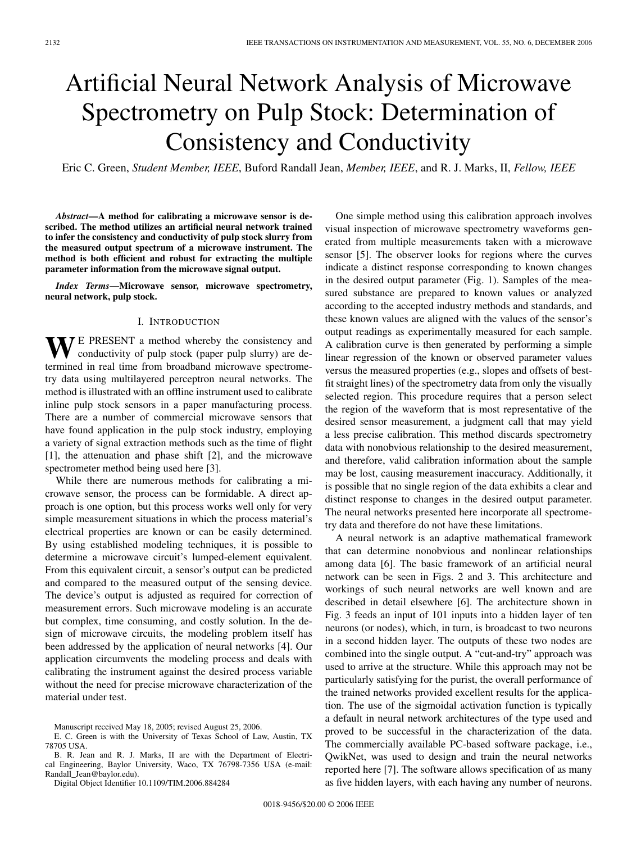# Artificial Neural Network Analysis of Microwave Spectrometry on Pulp Stock: Determination of Consistency and Conductivity

Eric C. Green, *Student Member, IEEE*, Buford Randall Jean, *Member, IEEE*, and R. J. Marks, II, *Fellow, IEEE*

*Abstract***—A method for calibrating a microwave sensor is described. The method utilizes an artificial neural network trained to infer the consistency and conductivity of pulp stock slurry from the measured output spectrum of a microwave instrument. The method is both efficient and robust for extracting the multiple parameter information from the microwave signal output.**

*Index Terms***—Microwave sensor, microwave spectrometry, neural network, pulp stock.**

## I. INTRODUCTION

WE PRESENT a method whereby the consistency and conductivity of pulp stock (paper pulp slurry) are determined in real time from broadband microwave spectrometry data using multilayered perceptron neural networks. The method is illustrated with an offline instrument used to calibrate inline pulp stock sensors in a paper manufacturing process. There are a number of commercial microwave sensors that have found application in the pulp stock industry, employing a variety of signal extraction methods such as the time of flight [1], the attenuation and phase shift [2], and the microwave spectrometer method being used here [3].

While there are numerous methods for calibrating a microwave sensor, the process can be formidable. A direct approach is one option, but this process works well only for very simple measurement situations in which the process material's electrical properties are known or can be easily determined. By using established modeling techniques, it is possible to determine a microwave circuit's lumped-element equivalent. From this equivalent circuit, a sensor's output can be predicted and compared to the measured output of the sensing device. The device's output is adjusted as required for correction of measurement errors. Such microwave modeling is an accurate but complex, time consuming, and costly solution. In the design of microwave circuits, the modeling problem itself has been addressed by the application of neural networks [4]. Our application circumvents the modeling process and deals with calibrating the instrument against the desired process variable without the need for precise microwave characterization of the material under test.

Digital Object Identifier 10.1109/TIM.2006.884284

One simple method using this calibration approach involves visual inspection of microwave spectrometry waveforms generated from multiple measurements taken with a microwave sensor [5]. The observer looks for regions where the curves indicate a distinct response corresponding to known changes in the desired output parameter (Fig. 1). Samples of the measured substance are prepared to known values or analyzed according to the accepted industry methods and standards, and these known values are aligned with the values of the sensor's output readings as experimentally measured for each sample. A calibration curve is then generated by performing a simple linear regression of the known or observed parameter values versus the measured properties (e.g., slopes and offsets of bestfit straight lines) of the spectrometry data from only the visually selected region. This procedure requires that a person select the region of the waveform that is most representative of the desired sensor measurement, a judgment call that may yield a less precise calibration. This method discards spectrometry data with nonobvious relationship to the desired measurement, and therefore, valid calibration information about the sample may be lost, causing measurement inaccuracy. Additionally, it is possible that no single region of the data exhibits a clear and distinct response to changes in the desired output parameter. The neural networks presented here incorporate all spectrometry data and therefore do not have these limitations.

A neural network is an adaptive mathematical framework that can determine nonobvious and nonlinear relationships among data [6]. The basic framework of an artificial neural network can be seen in Figs. 2 and 3. This architecture and workings of such neural networks are well known and are described in detail elsewhere [6]. The architecture shown in Fig. 3 feeds an input of 101 inputs into a hidden layer of ten neurons (or nodes), which, in turn, is broadcast to two neurons in a second hidden layer. The outputs of these two nodes are combined into the single output. A "cut-and-try" approach was used to arrive at the structure. While this approach may not be particularly satisfying for the purist, the overall performance of the trained networks provided excellent results for the application. The use of the sigmoidal activation function is typically a default in neural network architectures of the type used and proved to be successful in the characterization of the data. The commercially available PC-based software package, i.e., QwikNet, was used to design and train the neural networks reported here [7]. The software allows specification of as many as five hidden layers, with each having any number of neurons.

Manuscript received May 18, 2005; revised August 25, 2006.

E. C. Green is with the University of Texas School of Law, Austin, TX 78705 USA.

B. R. Jean and R. J. Marks, II are with the Department of Electrical Engineering, Baylor University, Waco, TX 76798-7356 USA (e-mail: Randall\_Jean@baylor.edu).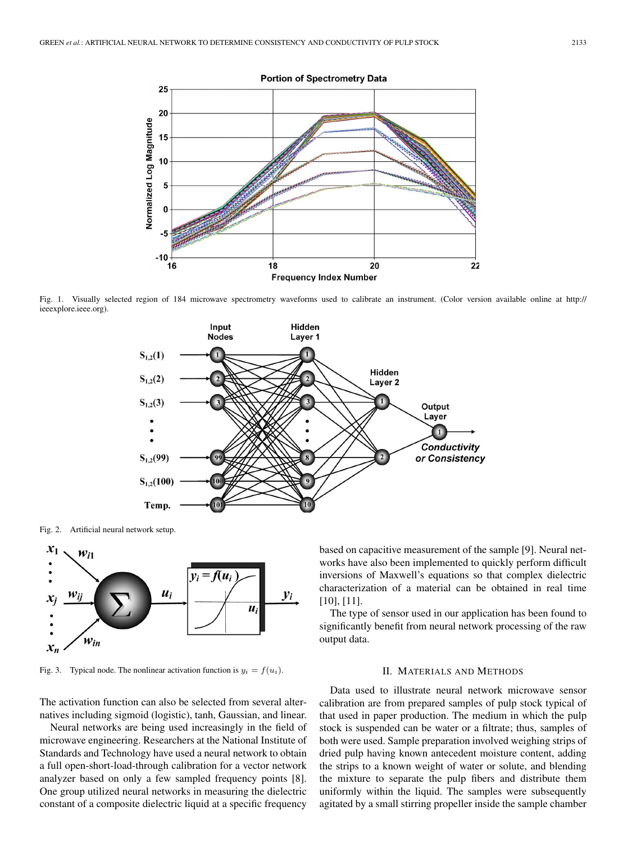

Fig. 1. Visually selected region of 184 microwave spectrometry waveforms used to calibrate an instrument. (Color version available online at http:// ieeexplore.ieee.org).



Fig. 2. Artificial neural network setup.



Fig. 3. Typical node. The nonlinear activation function is  $y_i = f(u_i)$ .

The activation function can also be selected from several alternatives including sigmoid (logistic), tanh, Gaussian, and linear.

Neural networks are being used increasingly in the field of microwave engineering. Researchers at the National Institute of Standards and Technology have used a neural network to obtain a full open-short-load-through calibration for a vector network analyzer based on only a few sampled frequency points [8]. One group utilized neural networks in measuring the dielectric constant of a composite dielectric liquid at a specific frequency

based on capacitive measurement of the sample [9]. Neural networks have also been implemented to quickly perform difficult inversions of Maxwell's equations so that complex dielectric characterization of a material can be obtained in real time [10], [11].

The type of sensor used in our application has been found to significantly benefit from neural network processing of the raw output data.

### II. MATERIALS AND METHODS

Data used to illustrate neural network microwave sensor calibration are from prepared samples of pulp stock typical of that used in paper production. The medium in which the pulp stock is suspended can be water or a filtrate; thus, samples of both were used. Sample preparation involved weighing strips of dried pulp having known antecedent moisture content, adding the strips to a known weight of water or solute, and blending the mixture to separate the pulp fibers and distribute them uniformly within the liquid. The samples were subsequently agitated by a small stirring propeller inside the sample chamber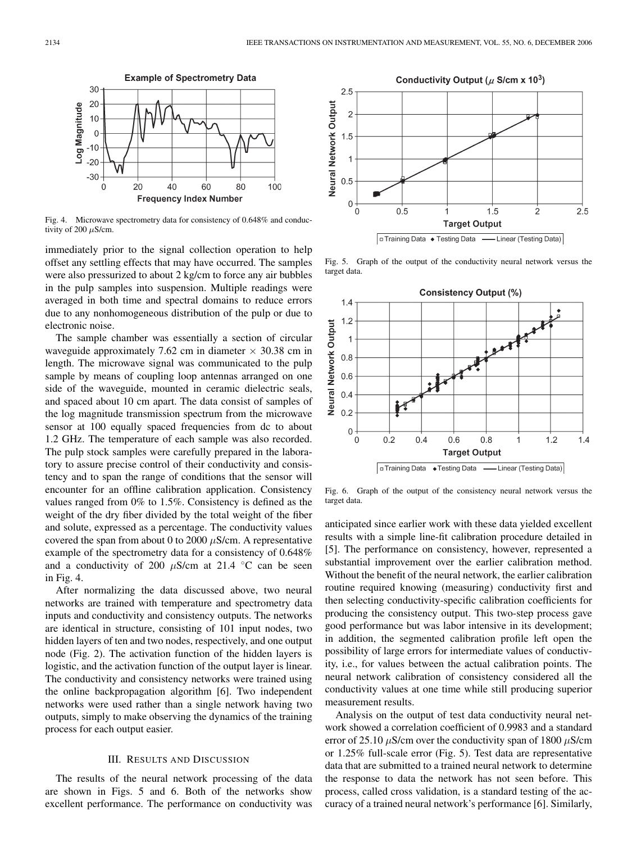

Fig. 4. Microwave spectrometry data for consistency of 0.648% and conductivity of 200 *µ*S/cm.

immediately prior to the signal collection operation to help offset any settling effects that may have occurred. The samples were also pressurized to about 2 kg/cm to force any air bubbles in the pulp samples into suspension. Multiple readings were averaged in both time and spectral domains to reduce errors due to any nonhomogeneous distribution of the pulp or due to electronic noise.

The sample chamber was essentially a section of circular waveguide approximately 7.62 cm in diameter  $\times$  30.38 cm in length. The microwave signal was communicated to the pulp sample by means of coupling loop antennas arranged on one side of the waveguide, mounted in ceramic dielectric seals, and spaced about 10 cm apart. The data consist of samples of the log magnitude transmission spectrum from the microwave sensor at 100 equally spaced frequencies from dc to about 1.2 GHz. The temperature of each sample was also recorded. The pulp stock samples were carefully prepared in the laboratory to assure precise control of their conductivity and consistency and to span the range of conditions that the sensor will encounter for an offline calibration application. Consistency values ranged from 0% to 1.5%. Consistency is defined as the weight of the dry fiber divided by the total weight of the fiber and solute, expressed as a percentage. The conductivity values covered the span from about 0 to 2000 *µ*S/cm. A representative example of the spectrometry data for a consistency of 0.648% and a conductivity of 200  $\mu$ S/cm at 21.4 °C can be seen in Fig. 4.

After normalizing the data discussed above, two neural networks are trained with temperature and spectrometry data inputs and conductivity and consistency outputs. The networks are identical in structure, consisting of 101 input nodes, two hidden layers of ten and two nodes, respectively, and one output node (Fig. 2). The activation function of the hidden layers is logistic, and the activation function of the output layer is linear. The conductivity and consistency networks were trained using the online backpropagation algorithm [6]. Two independent networks were used rather than a single network having two outputs, simply to make observing the dynamics of the training process for each output easier.

## III. RESULTS AND DISCUSSION

The results of the neural network processing of the data are shown in Figs. 5 and 6. Both of the networks show excellent performance. The performance on conductivity was



Fig. 5. Graph of the output of the conductivity neural network versus the target data.



Fig. 6. Graph of the output of the consistency neural network versus the target data.

anticipated since earlier work with these data yielded excellent results with a simple line-fit calibration procedure detailed in [5]. The performance on consistency, however, represented a substantial improvement over the earlier calibration method. Without the benefit of the neural network, the earlier calibration routine required knowing (measuring) conductivity first and then selecting conductivity-specific calibration coefficients for producing the consistency output. This two-step process gave good performance but was labor intensive in its development; in addition, the segmented calibration profile left open the possibility of large errors for intermediate values of conductivity, i.e., for values between the actual calibration points. The neural network calibration of consistency considered all the conductivity values at one time while still producing superior measurement results.

Analysis on the output of test data conductivity neural network showed a correlation coefficient of 0.9983 and a standard error of 25.10 *µ*S/cm over the conductivity span of 1800 *µ*S/cm or 1.25% full-scale error (Fig. 5). Test data are representative data that are submitted to a trained neural network to determine the response to data the network has not seen before. This process, called cross validation, is a standard testing of the accuracy of a trained neural network's performance [6]. Similarly,